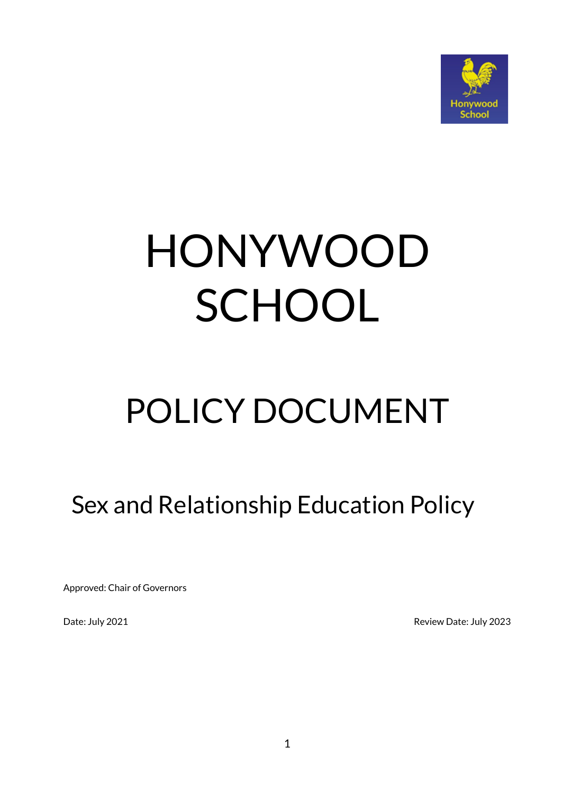

# HONYWOOD **SCHOOL**

# POLICY DOCUMENT

Sex and Relationship Education Policy

Approved: Chair of Governors

Date: July 2021 **Date: July 2023**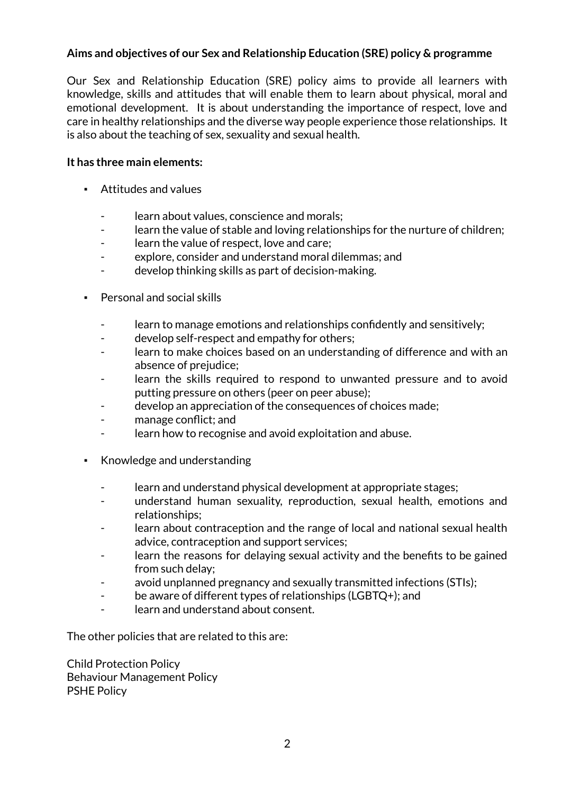## **Aims and objectives of our Sex and Relationship Education (SRE) policy & programme**

Our Sex and Relationship Education (SRE) policy aims to provide all learners with knowledge, skills and attitudes that will enable them to learn about physical, moral and emotional development. It is about understanding the importance of respect, love and care in healthy relationships and the diverse way people experience those relationships. It is also about the teaching of sex, sexuality and sexual health.

#### **It has three main elements:**

- Attitudes and values
	- learn about values, conscience and morals;
	- learn the value of stable and loving relationships for the nurture of children;
	- learn the value of respect, love and care;
	- explore, consider and understand moral dilemmas; and
	- develop thinking skills as part of decision-making.
- Personal and social skills
	- learn to manage emotions and relationships confidently and sensitively;
	- develop self-respect and empathy for others;
	- learn to make choices based on an understanding of difference and with an absence of prejudice;
	- learn the skills required to respond to unwanted pressure and to avoid putting pressure on others (peer on peer abuse);
	- develop an appreciation of the consequences of choices made;
	- manage conflict; and
	- learn how to recognise and avoid exploitation and abuse.
- Knowledge and understanding
	- learn and understand physical development at appropriate stages;
	- understand human sexuality, reproduction, sexual health, emotions and relationships;
	- learn about contraception and the range of local and national sexual health advice, contraception and support services;
	- learn the reasons for delaying sexual activity and the benefits to be gained from such delay;
	- avoid unplanned pregnancy and sexually transmitted infections (STIs);
	- be aware of different types of relationships (LGBTQ+); and
	- learn and understand about consent.

The other policies that are related to this are:

Child Protection Policy Behaviour Management Policy PSHE Policy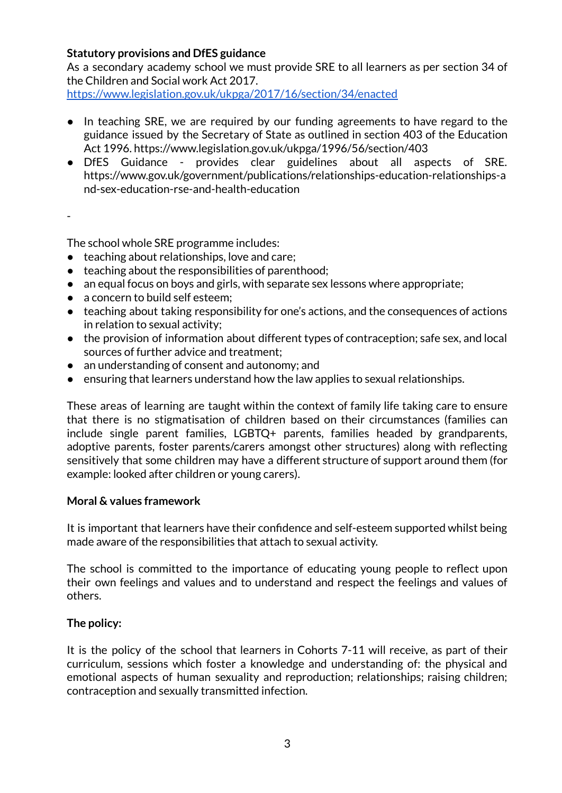# **Statutory provisions and DfES guidance**

As a secondary academy school we must provide SRE to all learners as per section 34 of the Children and Social work Act 2017.

<https://www.legislation.gov.uk/ukpga/2017/16/section/34/enacted>

- In teaching SRE, we are required by our funding agreements to have regard to the guidance issued by the Secretary of State as outlined in section 403 of the Education Act 1996. https://www.legislation.gov.uk/ukpga/1996/56/section/403
- DfES Guidance provides clear guidelines about all aspects of SRE. https://www.gov.uk/government/publications/relationships-education-relationships-a nd-sex-education-rse-and-health-education

-

The school whole SRE programme includes:

- teaching about relationships, love and care;
- teaching about the responsibilities of parenthood;
- an equal focus on boys and girls, with separate sex lessons where appropriate;
- a concern to build self esteem;
- teaching about taking responsibility for one's actions, and the consequences of actions in relation to sexual activity;
- the provision of information about different types of contraception; safe sex, and local sources of further advice and treatment;
- an understanding of consent and autonomy; and
- ensuring that learners understand how the law applies to sexual relationships.

These areas of learning are taught within the context of family life taking care to ensure that there is no stigmatisation of children based on their circumstances (families can include single parent families, LGBTQ+ parents, families headed by grandparents, adoptive parents, foster parents/carers amongst other structures) along with reflecting sensitively that some children may have a different structure of support around them (for example: looked after children or young carers).

#### **Moral & values framework**

It is important that learners have their confidence and self-esteem supported whilst being made aware of the responsibilities that attach to sexual activity.

The school is committed to the importance of educating young people to reflect upon their own feelings and values and to understand and respect the feelings and values of others.

### **The policy:**

It is the policy of the school that learners in Cohorts 7-11 will receive, as part of their curriculum, sessions which foster a knowledge and understanding of: the physical and emotional aspects of human sexuality and reproduction; relationships; raising children; contraception and sexually transmitted infection.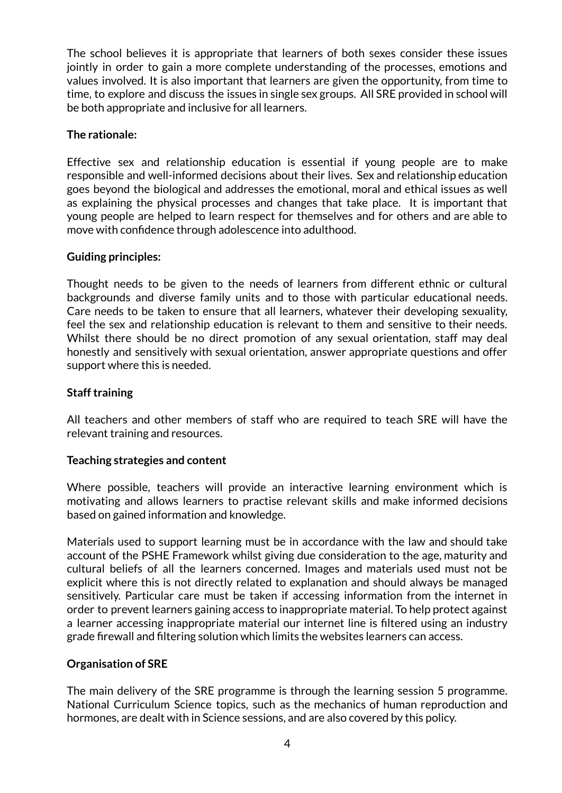The school believes it is appropriate that learners of both sexes consider these issues jointly in order to gain a more complete understanding of the processes, emotions and values involved. It is also important that learners are given the opportunity, from time to time, to explore and discuss the issues in single sex groups. All SRE provided in school will be both appropriate and inclusive for all learners.

#### **The rationale:**

Effective sex and relationship education is essential if young people are to make responsible and well-informed decisions about their lives. Sex and relationship education goes beyond the biological and addresses the emotional, moral and ethical issues as well as explaining the physical processes and changes that take place. It is important that young people are helped to learn respect for themselves and for others and are able to move with confidence through adolescence into adulthood.

#### **Guiding principles:**

Thought needs to be given to the needs of learners from different ethnic or cultural backgrounds and diverse family units and to those with particular educational needs. Care needs to be taken to ensure that all learners, whatever their developing sexuality, feel the sex and relationship education is relevant to them and sensitive to their needs. Whilst there should be no direct promotion of any sexual orientation, staff may deal honestly and sensitively with sexual orientation, answer appropriate questions and offer support where this is needed.

#### **Staff training**

All teachers and other members of staff who are required to teach SRE will have the relevant training and resources.

#### **Teaching strategies and content**

Where possible, teachers will provide an interactive learning environment which is motivating and allows learners to practise relevant skills and make informed decisions based on gained information and knowledge.

Materials used to support learning must be in accordance with the law and should take account of the PSHE Framework whilst giving due consideration to the age, maturity and cultural beliefs of all the learners concerned. Images and materials used must not be explicit where this is not directly related to explanation and should always be managed sensitively. Particular care must be taken if accessing information from the internet in order to prevent learners gaining access to inappropriate material. To help protect against a learner accessing inappropriate material our internet line is filtered using an industry grade firewall and filtering solution which limits the websites learners can access.

### **Organisation of SRE**

The main delivery of the SRE programme is through the learning session 5 programme. National Curriculum Science topics, such as the mechanics of human reproduction and hormones, are dealt with in Science sessions, and are also covered by this policy.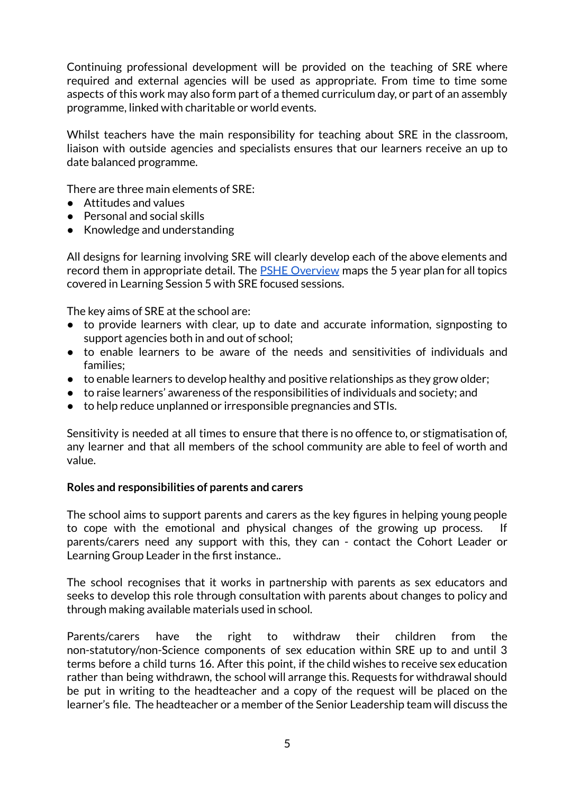Continuing professional development will be provided on the teaching of SRE where required and external agencies will be used as appropriate. From time to time some aspects of this work may also form part of a themed curriculum day, or part of an assembly programme, linked with charitable or world events.

Whilst teachers have the main responsibility for teaching about SRE in the classroom, liaison with outside agencies and specialists ensures that our learners receive an up to date balanced programme.

There are three main elements of SRE:

- Attitudes and values
- Personal and social skills
- Knowledge and understanding

All designs for learning involving SRE will clearly develop each of the above elements and record them in appropriate detail. The **PSHE [Overview](https://docs.google.com/spreadsheets/u/0/d/1rxUzrnwuzW9L9Y_uxXJCMdXnUJBwhLQvh_Qr0tqRLSI/edit)** maps the 5 year plan for all topics covered in Learning Session 5 with SRE focused sessions.

The key aims of SRE at the school are:

- to provide learners with clear, up to date and accurate information, signposting to support agencies both in and out of school;
- to enable learners to be aware of the needs and sensitivities of individuals and families;
- to enable learners to develop healthy and positive relationships as they grow older;
- to raise learners' awareness of the responsibilities of individuals and society; and
- to help reduce unplanned or irresponsible pregnancies and STIs.

Sensitivity is needed at all times to ensure that there is no offence to, or stigmatisation of, any learner and that all members of the school community are able to feel of worth and value.

#### **Roles and responsibilities of parents and carers**

The school aims to support parents and carers as the key figures in helping young people to cope with the emotional and physical changes of the growing up process. If parents/carers need any support with this, they can - contact the Cohort Leader or Learning Group Leader in the first instance..

The school recognises that it works in partnership with parents as sex educators and seeks to develop this role through consultation with parents about changes to policy and through making available materials used in school.

Parents/carers have the right to withdraw their children from the non-statutory/non-Science components of sex education within SRE up to and until 3 terms before a child turns 16. After this point, if the child wishes to receive sex education rather than being withdrawn, the school will arrange this. Requests for withdrawal should be put in writing to the headteacher and a copy of the request will be placed on the learner's file. The headteacher or a member of the Senior Leadership team will discuss the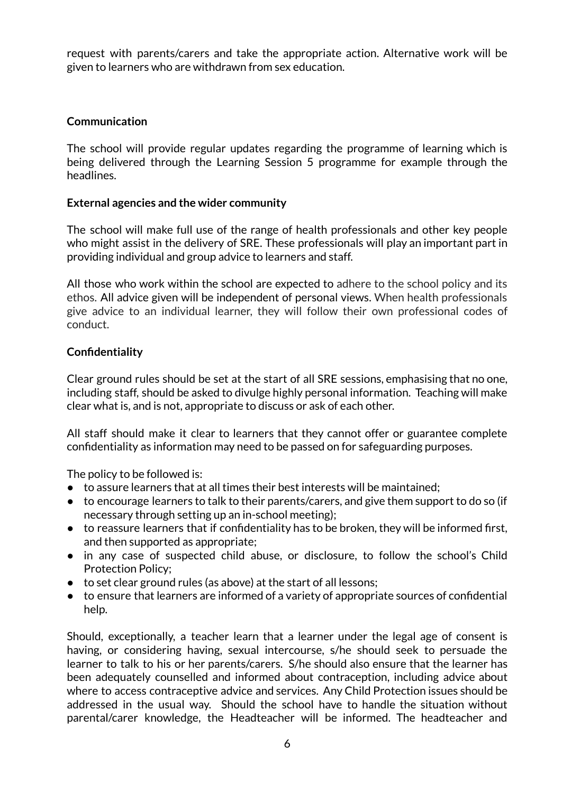request with parents/carers and take the appropriate action. Alternative work will be given to learners who are withdrawn from sex education.

## **Communication**

The school will provide regular updates regarding the programme of learning which is being delivered through the Learning Session 5 programme for example through the headlines.

#### **External agencies and the wider community**

The school will make full use of the range of health professionals and other key people who might assist in the delivery of SRE. These professionals will play an important part in providing individual and group advice to learners and staff.

All those who work within the school are expected to adhere to the school policy and its ethos. All advice given will be independent of personal views. When health professionals give advice to an individual learner, they will follow their own professional codes of conduct.

### **Confidentiality**

Clear ground rules should be set at the start of all SRE sessions, emphasising that no one, including staff, should be asked to divulge highly personal information. Teaching will make clear what is, and is not, appropriate to discuss or ask of each other.

All staff should make it clear to learners that they cannot offer or guarantee complete confidentiality as information may need to be passed on for safeguarding purposes.

The policy to be followed is:

- to assure learners that at all times their best interests will be maintained;
- to encourage learners to talk to their parents/carers, and give them support to do so (if necessary through setting up an in-school meeting);
- to reassure learners that if confidentiality has to be broken, they will be informed first, and then supported as appropriate;
- in any case of suspected child abuse, or disclosure, to follow the school's Child Protection Policy;
- to set clear ground rules (as above) at the start of all lessons;
- to ensure that learners are informed of a variety of appropriate sources of confidential help.

Should, exceptionally, a teacher learn that a learner under the legal age of consent is having, or considering having, sexual intercourse, s/he should seek to persuade the learner to talk to his or her parents/carers. S/he should also ensure that the learner has been adequately counselled and informed about contraception, including advice about where to access contraceptive advice and services. Any Child Protection issues should be addressed in the usual way. Should the school have to handle the situation without parental/carer knowledge, the Headteacher will be informed. The headteacher and